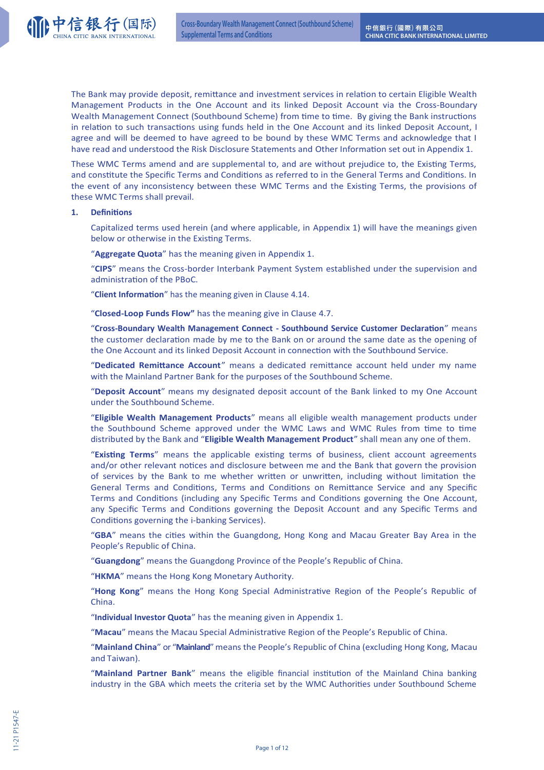

The Bank may provide deposit, remittance and investment services in relation to certain Eligible Wealth Management Products in the One Account and its linked Deposit Account via the Cross-Boundary Wealth Management Connect (Southbound Scheme) from time to time. By giving the Bank instructions in relation to such transactions using funds held in the One Account and its linked Deposit Account, I agree and will be deemed to have agreed to be bound by these WMC Terms and acknowledge that I have read and understood the Risk Disclosure Statements and Other Information set out in Appendix 1.

These WMC Terms amend and are supplemental to, and are without prejudice to, the Existing Terms, and constitute the Specific Terms and Conditions as referred to in the General Terms and Conditions. In the event of any inconsistency between these WMC Terms and the Existing Terms, the provisions of these WMC Terms shall prevail.

### 1. **Definitions**

Capitalized terms used herein (and where applicable, in Appendix 1) will have the meanings given below or otherwise in the Existing Terms.

"**Aggregate Quota**" has the meaning given in Appendix 1.

"**CIPS**" means the Cross-border Interbank Payment System established under the supervision and administration of the PBoC.

"Client Information" has the meaning given in Clause 4.14.

"**Closed-Loop Funds Flow"** has the meaning give in Clause 4.7.

"Cross-Boundary Wealth Management Connect - Southbound Service Customer Declaration" means the customer declaration made by me to the Bank on or around the same date as the opening of the One Account and its linked Deposit Account in connection with the Southbound Service.

"Dedicated Remittance Account" means a dedicated remittance account held under my name with the Mainland Partner Bank for the purposes of the Southbound Scheme.

"**Deposit Account**" means my designated deposit account of the Bank linked to my One Account under the Southbound Scheme.

"**Eligible Wealth Management Products**" means all eligible wealth management products under the Southbound Scheme approved under the WMC Laws and WMC Rules from time to time distributed by the Bank and "**Eligible Wealth Management Product**" shall mean any one of them.

"Existing Terms" means the applicable existing terms of business, client account agreements and/or other relevant notices and disclosure between me and the Bank that govern the provision of services by the Bank to me whether written or unwritten, including without limitation the General Terms and Conditions, Terms and Conditions on Remittance Service and any Specific Terms and Conditions (including any Specific Terms and Conditions governing the One Account, any Specific Terms and Conditions governing the Deposit Account and any Specific Terms and Conditions governing the i-banking Services).

"GBA" means the cities within the Guangdong, Hong Kong and Macau Greater Bay Area in the People's Republic of China.

"**Guangdong**" means the Guangdong Province of the People's Republic of China.

"**HKMA**" means the Hong Kong Monetary Authority.

"Hong Kong" means the Hong Kong Special Administrative Region of the People's Republic of China.

"**Individual Investor Quota**" has the meaning given in Appendix 1.

"Macau" means the Macau Special Administrative Region of the People's Republic of China.

"**Mainland China**" or "**Mainland**" means the People's Republic of China (excluding Hong Kong, Macau and Taiwan).

"Mainland Partner Bank" means the eligible financial institution of the Mainland China banking industry in the GBA which meets the criteria set by the WMC Authorities under Southbound Scheme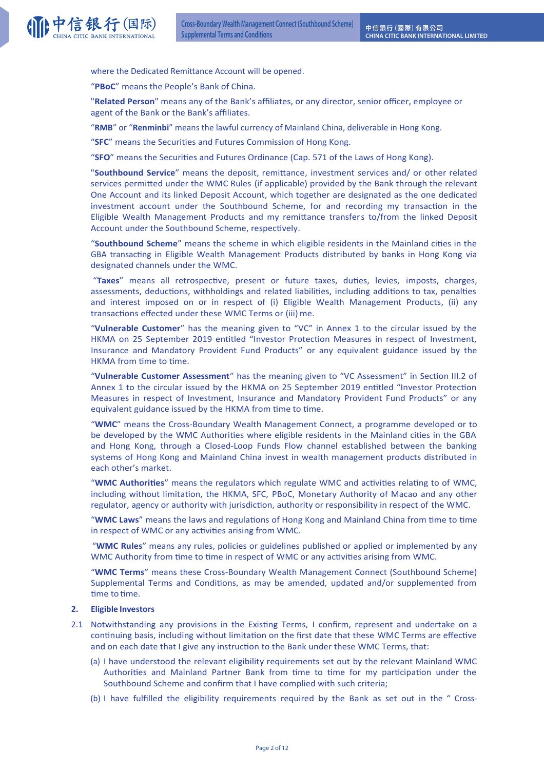where the Dedicated Remittance Account will be opened.

"**PBoC**" means the People's Bank of China.

"**Related Person**" means any of the Bank's affiliates, or any director, senior officer, employee or agent of the Bank or the Bank's affiliates.

"**RMB**" or "**Renminbi**" means the lawful currency of Mainland China, deliverable in Hong Kong.

"**SFC**" means the Securities and Futures Commission of Hong Kong.

"**SFO**" means the Securities and Futures Ordinance (Cap. 571 of the Laws of Hong Kong).

"Southbound Service" means the deposit, remittance, investment services and/ or other related services permitted under the WMC Rules (if applicable) provided by the Bank through the relevant One Account and its linked Deposit Account, which together are designated as the one dedicated investment account under the Southbound Scheme, for and recording my transaction in the Eligible Wealth Management Products and my remittance transfers to/from the linked Deposit Account under the Southbound Scheme, respectively.

"Southbound Scheme" means the scheme in which eligible residents in the Mainland cities in the GBA transacting in Eligible Wealth Management Products distributed by banks in Hong Kong via designated channels under the WMC.

"Taxes" means all retrospective, present or future taxes, duties, levies, imposts, charges, assessments, deductions, withholdings and related liabilities, including additions to tax, penalties and interest imposed on or in respect of (i) Eligible Wealth Management Products, (ii) any transactions effected under these WMC Terms or (iii) me.

"**Vulnerable Customer**" has the meaning given to "VC" in Annex 1 to the circular issued by the HKMA on 25 September 2019 entitled "Investor Protection Measures in respect of Investment, Insurance and Mandatory Provident Fund Products" or any equivalent guidance issued by the HKMA from time to time.

"Vulnerable Customer Assessment" has the meaning given to "VC Assessment" in Section III.2 of Annex 1 to the circular issued by the HKMA on 25 September 2019 entitled "Investor Protection Measures in respect of Investment, Insurance and Mandatory Provident Fund Products" or any equivalent guidance issued by the HKMA from time to time.

"**WMC**" means the Cross-Boundary Wealth Management Connect, a programme developed or to be developed by the WMC Authorities where eligible residents in the Mainland cities in the GBA and Hong Kong, through a Closed-Loop Funds Flow channel established between the banking systems of Hong Kong and Mainland China invest in wealth management products distributed in each other's market.

"WMC Authorities" means the regulators which regulate WMC and activities relating to of WMC, including without limitation, the HKMA, SFC, PBoC, Monetary Authority of Macao and any other regulator, agency or authority with jurisdiction, authority or responsibility in respect of the WMC.

"WMC Laws" means the laws and regulations of Hong Kong and Mainland China from time to time in respect of WMC or any activities arising from WMC.

"**WMC Rules**" means any rules, policies or guidelines published or applied or implemented by any WMC Authority from time to time in respect of WMC or any activities arising from WMC.

"**WMC Terms**" means these Cross-Boundary Wealth Management Connect (Southbound Scheme) Supplemental Terms and Conditions, as may be amended, updated and/or supplemented from time to time.

### **2. Eligible Investors**

- 2.1 Notwithstanding any provisions in the Existing Terms, I confirm, represent and undertake on a continuing basis, including without limitation on the first date that these WMC Terms are effective and on each date that I give any instruction to the Bank under these WMC Terms, that:
	- (a) I have understood the relevant eligibility requirements set out by the relevant Mainland WMC Authorities and Mainland Partner Bank from time to time for my participation under the Southbound Scheme and confirm that I have complied with such criteria;
	- (b) I have fulfilled the eligibility requirements required by the Bank as set out in the " Cross-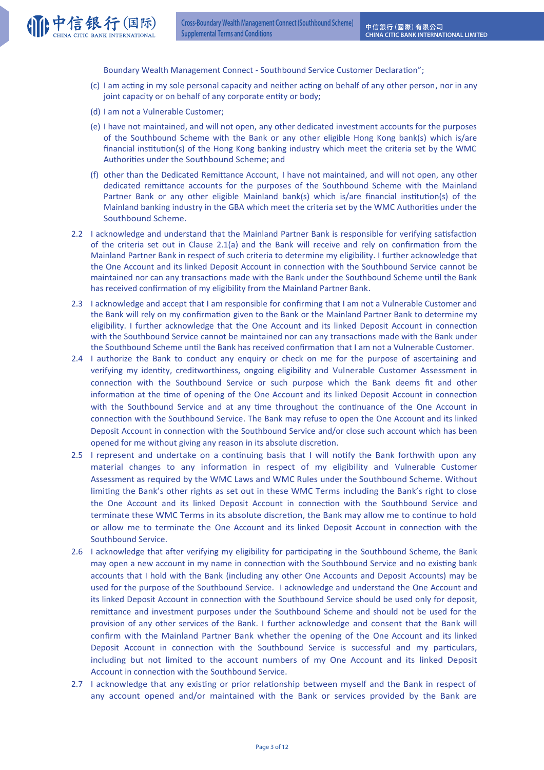Boundary Wealth Management Connect - Southbound Service Customer Declaration";

- (c) I am acting in my sole personal capacity and neither acting on behalf of any other person, nor in any joint capacity or on behalf of any corporate entity or body;
- (d) I am not a Vulnerable Customer;
- (e) I have not maintained, and will not open, any other dedicated investment accounts for the purposes of the Southbound Scheme with the Bank or any other eligible Hong Kong bank(s) which is/are financial institution(s) of the Hong Kong banking industry which meet the criteria set by the WMC Authorities under the Southbound Scheme; and
- (f) other than the Dedicated Remittance Account, I have not maintained, and will not open, any other dedicated remittance accounts for the purposes of the Southbound Scheme with the Mainland Partner Bank or any other eligible Mainland bank(s) which is/are financial institution(s) of the Mainland banking industry in the GBA which meet the criteria set by the WMC Authorities under the Southbound Scheme.
- 2.2 I acknowledge and understand that the Mainland Partner Bank is responsible for verifying satisfaction of the criteria set out in Clause  $2.1(a)$  and the Bank will receive and rely on confirmation from the Mainland Partner Bank in respect of such criteria to determine my eligibility. I further acknowledge that the One Account and its linked Deposit Account in connection with the Southbound Service cannot be maintained nor can any transactions made with the Bank under the Southbound Scheme until the Bank has received confirmation of my eligibility from the Mainland Partner Bank.
- 2.3 I acknowledge and accept that I am responsible for confirming that I am not a Vulnerable Customer and the Bank will rely on my confirmation given to the Bank or the Mainland Partner Bank to determine my eligibility. I further acknowledge that the One Account and its linked Deposit Account in connection with the Southbound Service cannot be maintained nor can any transactions made with the Bank under the Southbound Scheme until the Bank has received confirmation that I am not a Vulnerable Customer.
- 2.4 I authorize the Bank to conduct any enquiry or check on me for the purpose of ascertaining and verifying my identity, creditworthiness, ongoing eligibility and Vulnerable Customer Assessment in connection with the Southbound Service or such purpose which the Bank deems fit and other information at the time of opening of the One Account and its linked Deposit Account in connection with the Southbound Service and at any time throughout the continuance of the One Account in connection with the Southbound Service. The Bank may refuse to open the One Account and its linked Deposit Account in connection with the Southbound Service and/or close such account which has been opened for me without giving any reason in its absolute discretion.
- 2.5 I represent and undertake on a continuing basis that I will notify the Bank forthwith upon any material changes to any information in respect of my eligibility and Vulnerable Customer Assessment as required by the WMC Laws and WMC Rules under the Southbound Scheme. Without limiting the Bank's other rights as set out in these WMC Terms including the Bank's right to close the One Account and its linked Deposit Account in connection with the Southbound Service and terminate these WMC Terms in its absolute discretion, the Bank may allow me to continue to hold or allow me to terminate the One Account and its linked Deposit Account in connection with the Southbound Service.
- 2.6 I acknowledge that after verifying my eligibility for participating in the Southbound Scheme, the Bank may open a new account in my name in connection with the Southbound Service and no existing bank accounts that I hold with the Bank (including any other One Accounts and Deposit Accounts) may be used for the purpose of the Southbound Service. I acknowledge and understand the One Account and its linked Deposit Account in connection with the Southbound Service should be used only for deposit, remittance and investment purposes under the Southbound Scheme and should not be used for the provision of any other services of the Bank. I further acknowledge and consent that the Bank will confirm with the Mainland Partner Bank whether the opening of the One Account and its linked Deposit Account in connection with the Southbound Service is successful and my particulars, including but not limited to the account numbers of my One Account and its linked Deposit Account in connection with the Southbound Service.
- 2.7 I acknowledge that any existing or prior relationship between myself and the Bank in respect of any account opened and/or maintained with the Bank or services provided by the Bank are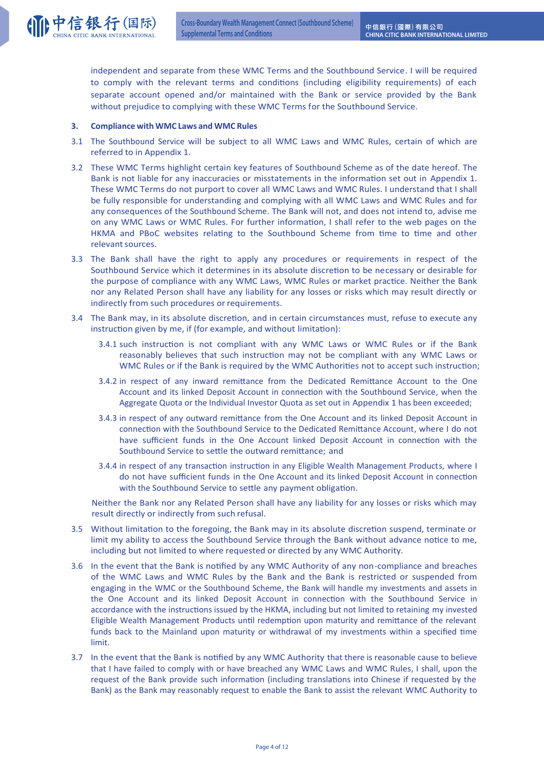independent and separate from these WMC Terms and the Southbound Service. I will be required to comply with the relevant terms and conditions (including eligibility requirements) of each separate account opened and/or maintained with the Bank or service provided by the Bank without prejudice to complying with these WMC Terms for the Southbound Service.

## **3. Compliance with WMC Laws and WMC Rules**

- 3.1 The Southbound Service will be subject to all WMC Laws and WMC Rules, certain of which are referred to in Appendix 1.
- 3.2 These WMC Terms highlight certain key features of Southbound Scheme as of the date hereof. The Bank is not liable for any inaccuracies or misstatements in the information set out in Appendix 1. These WMC Terms do not purport to cover all WMC Laws and WMC Rules. I understand that I shall be fully responsible for understanding and complying with all WMC Laws and WMC Rules and for any consequences of the Southbound Scheme. The Bank will not, and does not intend to, advise me on any WMC Laws or WMC Rules. For further information, I shall refer to the web pages on the HKMA and PBoC websites relating to the Southbound Scheme from time to time and other relevant sources.
- 3.3 The Bank shall have the right to apply any procedures or requirements in respect of the Southbound Service which it determines in its absolute discretion to be necessary or desirable for the purpose of compliance with any WMC Laws, WMC Rules or market practice. Neither the Bank nor any Related Person shall have any liability for any losses or risks which may result directly or indirectly from such procedures or requirements.
- 3.4 The Bank may, in its absolute discretion, and in certain circumstances must, refuse to execute any instruction given by me, if (for example, and without limitation):
	- 3.4.1 such instruction is not compliant with any WMC Laws or WMC Rules or if the Bank reasonably believes that such instruction may not be compliant with any WMC Laws or WMC Rules or if the Bank is required by the WMC Authorities not to accept such instruction;
	- 3.4.2 in respect of any inward remittance from the Dedicated Remittance Account to the One Account and its linked Deposit Account in connection with the Southbound Service, when the Aggregate Quota or the Individual Investor Quota as set out in Appendix 1 has been exceeded;
	- 3.4.3 in respect of any outward remittance from the One Account and its linked Deposit Account in connection with the Southbound Service to the Dedicated Remittance Account, where I do not have sufficient funds in the One Account linked Deposit Account in connection with the Southbound Service to settle the outward remittance; and
	- 3.4.4 in respect of any transaction instruction in any Eligible Wealth Management Products, where I do not have sufficient funds in the One Account and its linked Deposit Account in connection with the Southbound Service to settle any payment obligation.

Neither the Bank nor any Related Person shall have any liability for any losses or risks which may result directly or indirectly from such refusal.

- 3.5 Without limitation to the foregoing, the Bank may in its absolute discretion suspend, terminate or limit my ability to access the Southbound Service through the Bank without advance notice to me, including but not limited to where requested or directed by any WMC Authority.
- 3.6 In the event that the Bank is notified by any WMC Authority of any non-compliance and breaches of the WMC Laws and WMC Rules by the Bank and the Bank is restricted or suspended from engaging in the WMC or the Southbound Scheme, the Bank will handle my investments and assets in the One Account and its linked Deposit Account in connection with the Southbound Service in accordance with the instructions issued by the HKMA, including but not limited to retaining my invested Eligible Wealth Management Products until redemption upon maturity and remittance of the relevant funds back to the Mainland upon maturity or withdrawal of my investments within a specified time limit.
- 3.7 In the event that the Bank is notified by any WMC Authority that there is reasonable cause to believe that I have failed to comply with or have breached any WMC Laws and WMC Rules, I shall, upon the request of the Bank provide such information (including translations into Chinese if requested by the Bank) as the Bank may reasonably request to enable the Bank to assist the relevant WMC Authority to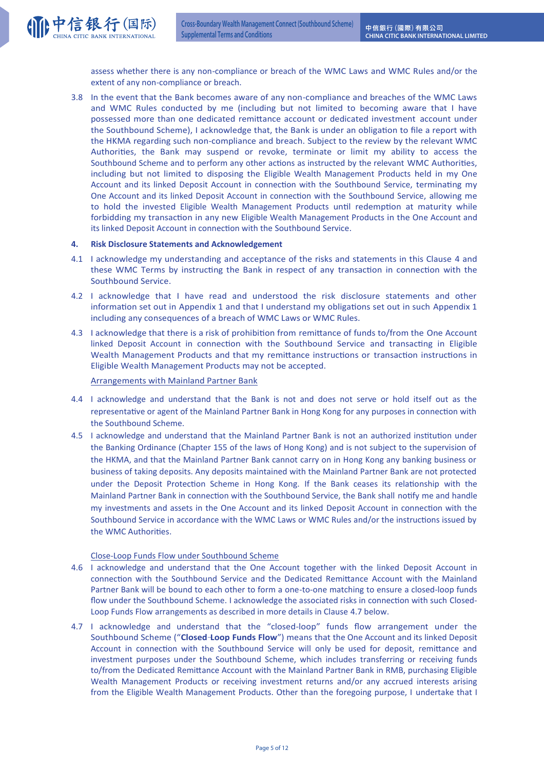

assess whether there is any non-compliance or breach of the WMC Laws and WMC Rules and/or the extent of any non-compliance or breach.

3.8 In the event that the Bank becomes aware of any non-compliance and breaches of the WMC Laws and WMC Rules conducted by me (including but not limited to becoming aware that I have possessed more than one dedicated remittance account or dedicated investment account under the Southbound Scheme), I acknowledge that, the Bank is under an obligation to file a report with the HKMA regarding such non-compliance and breach. Subject to the review by the relevant WMC Authorities, the Bank may suspend or revoke, terminate or limit my ability to access the Southbound Scheme and to perform any other actions as instructed by the relevant WMC Authorities, including but not limited to disposing the Eligible Wealth Management Products held in my One Account and its linked Deposit Account in connection with the Southbound Service, terminating my One Account and its linked Deposit Account in connection with the Southbound Service, allowing me to hold the invested Eligible Wealth Management Products until redemption at maturity while forbidding my transaction in any new Eligible Wealth Management Products in the One Account and its linked Deposit Account in connection with the Southbound Service.

## **4. Risk Disclosure Statements and Acknowledgement**

- 4.1 I acknowledge my understanding and acceptance of the risks and statements in this Clause 4 and these WMC Terms by instructing the Bank in respect of any transaction in connection with the Southbound Service.
- 4.2 I acknowledge that I have read and understood the risk disclosure statements and other information set out in Appendix 1 and that I understand my obligations set out in such Appendix 1 including any consequences of a breach of WMC Laws or WMC Rules.
- 4.3 I acknowledge that there is a risk of prohibition from remittance of funds to/from the One Account linked Deposit Account in connection with the Southbound Service and transacting in Eligible Wealth Management Products and that my remittance instructions or transaction instructions in Eligible Wealth Management Products may not be accepted.

### Arrangements with Mainland Partner Bank

- 4.4 I acknowledge and understand that the Bank is not and does not serve or hold itself out as the representative or agent of the Mainland Partner Bank in Hong Kong for any purposes in connection with the Southbound Scheme.
- 4.5 I acknowledge and understand that the Mainland Partner Bank is not an authorized institution under the Banking Ordinance (Chapter 155 of the laws of Hong Kong) and is not subject to the supervision of the HKMA, and that the Mainland Partner Bank cannot carry on in Hong Kong any banking business or business of taking deposits. Any deposits maintained with the Mainland Partner Bank are not protected under the Deposit Protection Scheme in Hong Kong. If the Bank ceases its relationship with the Mainland Partner Bank in connection with the Southbound Service, the Bank shall notify me and handle my investments and assets in the One Account and its linked Deposit Account in connection with the Southbound Service in accordance with the WMC Laws or WMC Rules and/or the instructions issued by the WMC Authorities.

### Close-Loop Funds Flow under Southbound Scheme

- 4.6 I acknowledge and understand that the One Account together with the linked Deposit Account in connection with the Southbound Service and the Dedicated Remittance Account with the Mainland Partner Bank will be bound to each other to form a one-to-one matching to ensure a closed-loop funds flow under the Southbound Scheme. I acknowledge the associated risks in connection with such Closed-Loop Funds Flow arrangements as described in more details in Clause 4.7 below.
- 4.7 I acknowledge and understand that the "closed-loop" funds flow arrangement under the Southbound Scheme ("**Closed.Loop Funds Flow**") means that the One Account and its linked Deposit Account in connection with the Southbound Service will only be used for deposit, remittance and investment purposes under the Southbound Scheme, which includes transferring or receiving funds to/from the Dedicated Remittance Account with the Mainland Partner Bank in RMB, purchasing Eligible Wealth Management Products or receiving investment returns and/or any accrued interests arising from the Eligible Wealth Management Products. Other than the foregoing purpose, I undertake that I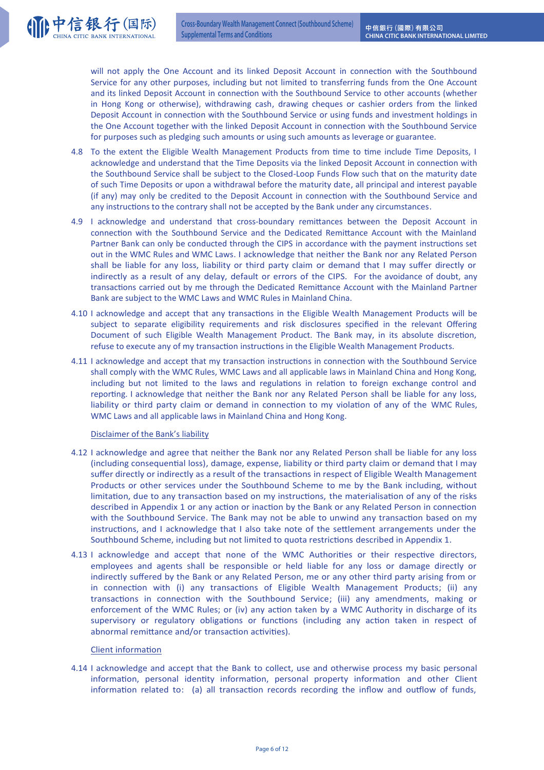will not apply the One Account and its linked Deposit Account in connection with the Southbound Service for any other purposes, including but not limited to transferring funds from the One Account and its linked Deposit Account in connection with the Southbound Service to other accounts (whether in Hong Kong or otherwise), withdrawing cash, drawing cheques or cashier orders from the linked Deposit Account in connection with the Southbound Service or using funds and investment holdings in the One Account together with the linked Deposit Account in connection with the Southbound Service for purposes such as pledging such amounts or using such amounts as leverage or guarantee.

- 4.8 To the extent the Eligible Wealth Management Products from time to time include Time Deposits, I acknowledge and understand that the Time Deposits via the linked Deposit Account in connection with the Southbound Service shall be subject to the Closed-Loop Funds Flow such that on the maturity date of such Time Deposits or upon a withdrawal before the maturity date, all principal and interest payable (if any) may only be credited to the Deposit Account in connection with the Southbound Service and any instructions to the contrary shall not be accepted by the Bank under any circumstances.
- 4.9 I acknowledge and understand that cross-boundary remittances between the Deposit Account in connection with the Southbound Service and the Dedicated Remittance Account with the Mainland Partner Bank can only be conducted through the CIPS in accordance with the payment instructions set out in the WMC Rules and WMC Laws. I acknowledge that neither the Bank nor any Related Person shall be liable for any loss, liability or third party claim or demand that I may suffer directly or indirectly as a result of any delay, default or errors of the CIPS. For the avoidance of doubt, any transactions carried out by me through the Dedicated Remittance Account with the Mainland Partner Bank are subject to the WMC Laws and WMC Rules in Mainland China.
- 4.10 I acknowledge and accept that any transactions in the Eligible Wealth Management Products will be subject to separate eligibility requirements and risk disclosures specified in the relevant Offering Document of such Eligible Wealth Management Product. The Bank may, in its absolute discretion, refuse to execute any of my transaction instructions in the Eligible Wealth Management Products.
- 4.11 I acknowledge and accept that my transaction instructions in connection with the Southbound Service shall comply with the WMC Rules, WMC Laws and all applicable laws in Mainland China and Hong Kong, including but not limited to the laws and regulations in relation to foreign exchange control and reporting. I acknowledge that neither the Bank nor any Related Person shall be liable for any loss, liability or third party claim or demand in connection to my violation of any of the WMC Rules, WMC Laws and all applicable laws in Mainland China and Hong Kong.

## Disclaimer of the Bank's liability

(1)中信银行(国际)

- 4.12 I acknowledge and agree that neither the Bank nor any Related Person shall be liable for any loss (including consequential loss), damage, expense, liability or third party claim or demand that I may suffer directly or indirectly as a result of the transactions in respect of Eligible Wealth Management Products or other services under the Southbound Scheme to me by the Bank including, without limitation, due to any transaction based on my instructions, the materialisation of any of the risks described in Appendix 1 or any action or inaction by the Bank or any Related Person in connection with the Southbound Service. The Bank may not be able to unwind any transaction based on my instructions, and I acknowledge that I also take note of the settlement arrangements under the Southbound Scheme, including but not limited to quota restrictions described in Appendix 1.
- 4.13 I acknowledge and accept that none of the WMC Authorities or their respective directors, employees and agents shall be responsible or held liable for any loss or damage directly or indirectly suffered by the Bank or any Related Person, me or any other third party arising from or in connection with (i) any transactions of Eligible Wealth Management Products; (ii) any transactions in connection with the Southbound Service; (iii) any amendments, making or enforcement of the WMC Rules; or (iv) any action taken by a WMC Authority in discharge of its supervisory or regulatory obligations or functions (including any action taken in respect of abnormal remittance and/or transaction activities).

### Client information

4.14 I acknowledge and accept that the Bank to collect, use and otherwise process my basic personal information, personal identity information, personal property information and other Client information related to: (a) all transaction records recording the inflow and outflow of funds,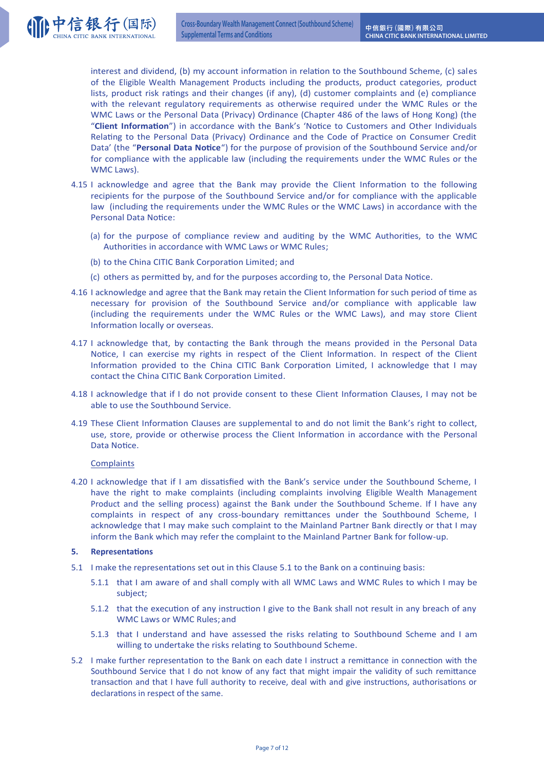interest and dividend, (b) my account information in relation to the Southbound Scheme, (c) sales of the Eligible Wealth Management Products including the products, product categories, product lists, product risk ratings and their changes (if any), (d) customer complaints and (e) compliance with the relevant regulatory requirements as otherwise required under the WMC Rules or the WMC Laws or the Personal Data (Privacy) Ordinance (Chapter 486 of the laws of Hong Kong) (the "Client Information") in accordance with the Bank's 'Notice to Customers and Other Individuals Relating to the Personal Data (Privacy) Ordinance and the Code of Practice on Consumer Credit Data' (the "Personal Data Notice") for the purpose of provision of the Southbound Service and/or for compliance with the applicable law (including the requirements under the WMC Rules or the WMC Laws).

- 4.15 I acknowledge and agree that the Bank may provide the Client Information to the following recipients for the purpose of the Southbound Service and/or for compliance with the applicable law (including the requirements under the WMC Rules or the WMC Laws) in accordance with the Personal Data Notice:
	- (a) for the purpose of compliance review and auditing by the WMC Authorities, to the WMC Authorities in accordance with WMC Laws or WMC Rules:
	- (b) to the China CITIC Bank Corporation Limited; and
	- $(c)$  others as permitted by, and for the purposes according to, the Personal Data Notice.
- 4.16 I acknowledge and agree that the Bank may retain the Client Information for such period of time as necessary for provision of the Southbound Service and/or compliance with applicable law (including the requirements under the WMC Rules or the WMC Laws), and may store Client Information locally or overseas.
- 4.17 I acknowledge that, by contacting the Bank through the means provided in the Personal Data Notice, I can exercise my rights in respect of the Client Information. In respect of the Client Information provided to the China CITIC Bank Corporation Limited, I acknowledge that I may contact the China CITIC Bank Corporation Limited.
- 4.18 I acknowledge that if I do not provide consent to these Client Information Clauses, I may not be able to use the Southbound Service.
- 4.19 These Client Information Clauses are supplemental to and do not limit the Bank's right to collect, use, store, provide or otherwise process the Client Information in accordance with the Personal Data Notice.

## **Complaints**

(1)中信银行(国际)

4.20 I acknowledge that if I am dissatisfied with the Bank's service under the Southbound Scheme, I have the right to make complaints (including complaints involving Eligible Wealth Management Product and the selling process) against the Bank under the Southbound Scheme. If I have any complaints in respect of any cross-boundary remittances under the Southbound Scheme, I acknowledge that I may make such complaint to the Mainland Partner Bank directly or that I may inform the Bank which may refer the complaint to the Mainland Partner Bank for follow-up.

### **5.** Representations

- 5.1 I make the representations set out in this Clause 5.1 to the Bank on a continuing basis:
	- 5.1.1 that I am aware of and shall comply with all WMC Laws and WMC Rules to which I may be subject;
	- 5.1.2 that the execution of any instruction I give to the Bank shall not result in any breach of any WMC Laws or WMC Rules; and
	- 5.1.3 that I understand and have assessed the risks relating to Southbound Scheme and I am willing to undertake the risks relating to Southbound Scheme.
- 5.2 I make further representation to the Bank on each date I instruct a remittance in connection with the Southbound Service that I do not know of any fact that might impair the validity of such remittance transaction and that I have full authority to receive, deal with and give instructions, authorisations or declarations in respect of the same.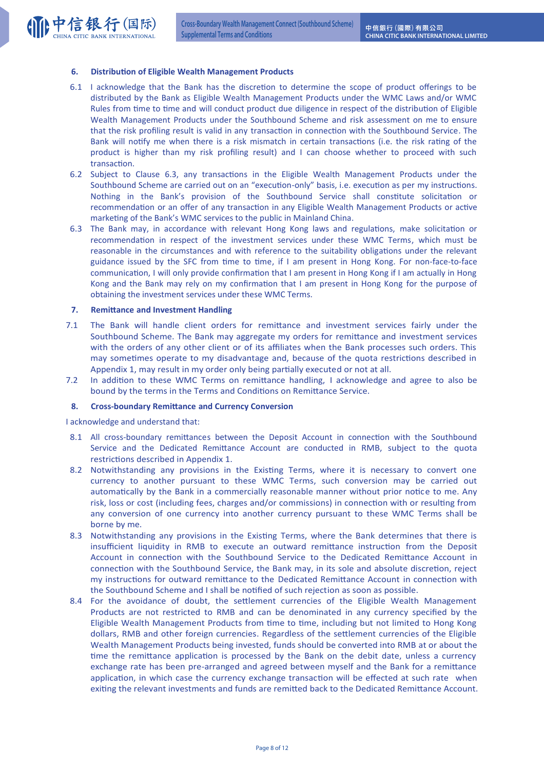## **6.** Distribution of Eligible Wealth Management Products

- 6.1 I acknowledge that the Bank has the discretion to determine the scope of product offerings to be distributed by the Bank as Eligible Wealth Management Products under the WMC Laws and/or WMC Rules from time to time and will conduct product due diligence in respect of the distribution of Eligible Wealth Management Products under the Southbound Scheme and risk assessment on me to ensure that the risk profiling result is valid in any transaction in connection with the Southbound Service. The Bank will notify me when there is a risk mismatch in certain transactions (i.e. the risk rating of the product is higher than my risk profiling result) and I can choose whether to proceed with such transaction.
- 6.2 Subject to Clause 6.3, any transactions in the Eligible Wealth Management Products under the Southbound Scheme are carried out on an "execution-only" basis, i.e. execution as per my instructions. Nothing in the Bank's provision of the Southbound Service shall constitute solicitation or recommendation or an offer of any transaction in any Eligible Wealth Management Products or active marketing of the Bank's WMC services to the public in Mainland China.
- 6.3 The Bank may, in accordance with relevant Hong Kong laws and regulations, make solicitation or recommendation in respect of the investment services under these WMC Terms, which must be reasonable in the circumstances and with reference to the suitability obligations under the relevant guidance issued by the SFC from time to time, if I am present in Hong Kong. For non-face-to-face communication, I will only provide confirmation that I am present in Hong Kong if I am actually in Hong Kong and the Bank may rely on my confirmation that I am present in Hong Kong for the purpose of obtaining the investment services under these WMC Terms.

## **7.** Remittance and Investment Handling

- 7.1 The Bank will handle client orders for remittance and investment services fairly under the Southbound Scheme. The Bank may aggregate my orders for remittance and investment services with the orders of any other client or of its affiliates when the Bank processes such orders. This may sometimes operate to my disadvantage and, because of the quota restrictions described in Appendix 1, may result in my order only being partially executed or not at all.
- 7.2 In addition to these WMC Terms on remittance handling, I acknowledge and agree to also be bound by the terms in the Terms and Conditions on Remittance Service.

### **8.** Cross-boundary Remittance and Currency Conversion

I acknowledge and understand that:

- 8.1 All cross-boundary remittances between the Deposit Account in connection with the Southbound Service and the Dedicated Remittance Account are conducted in RMB, subject to the quota restrictions described in Appendix 1.
- 8.2 Notwithstanding any provisions in the Existing Terms, where it is necessary to convert one currency to another pursuant to these WMC Terms, such conversion may be carried out automatically by the Bank in a commercially reasonable manner without prior notice to me. Any risk, loss or cost (including fees, charges and/or commissions) in connection with or resulting from any conversion of one currency into another currency pursuant to these WMC Terms shall be borne by me.
- 8.3 Notwithstanding any provisions in the Existing Terms, where the Bank determines that there is insufficient liquidity in RMB to execute an outward remittance instruction from the Deposit Account in connection with the Southbound Service to the Dedicated Remittance Account in connection with the Southbound Service, the Bank may, in its sole and absolute discretion, reject my instructions for outward remittance to the Dedicated Remittance Account in connection with the Southbound Scheme and I shall be notified of such rejection as soon as possible.
- 8.4 For the avoidance of doubt, the settlement currencies of the Eligible Wealth Management Products are not restricted to RMB and can be denominated in any currency specified by the Eligible Wealth Management Products from time to time, including but not limited to Hong Kong dollars, RMB and other foreign currencies. Regardless of the settlement currencies of the Eligible Wealth Management Products being invested, funds should be converted into RMB at or about the time the remittance application is processed by the Bank on the debit date, unless a currency exchange rate has been pre-arranged and agreed between myself and the Bank for a remittance application, in which case the currency exchange transaction will be effected at such rate when exiting the relevant investments and funds are remitted back to the Dedicated Remittance Account.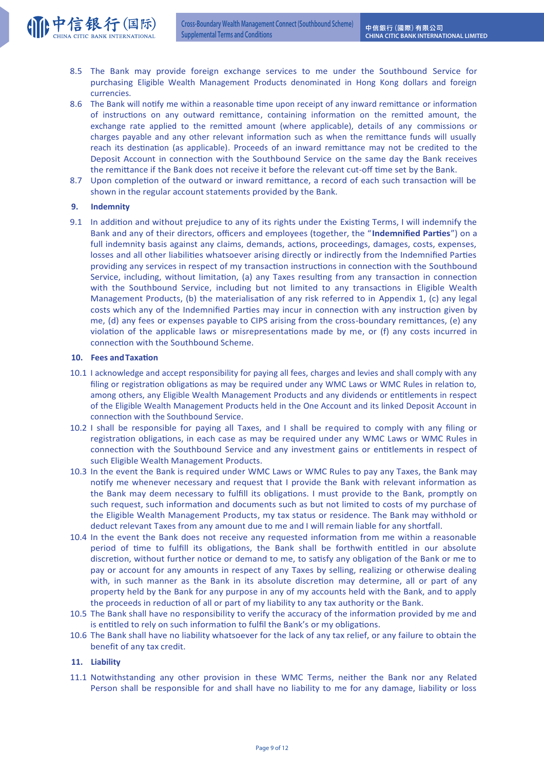- 8.5 The Bank may provide foreign exchange services to me under the Southbound Service for purchasing Eligible Wealth Management Products denominated in Hong Kong dollars and foreign currencies.
- 8.6 The Bank will notify me within a reasonable time upon receipt of any inward remittance or information of instructions on any outward remittance, containing information on the remitted amount, the exchange rate applied to the remitted amount (where applicable), details of any commissions or charges payable and any other relevant information such as when the remittance funds will usually reach its destination (as applicable). Proceeds of an inward remittance may not be credited to the Deposit Account in connection with the Southbound Service on the same day the Bank receives the remittance if the Bank does not receive it before the relevant cut-off time set by the Bank.
- 8.7 Upon completion of the outward or inward remittance, a record of each such transaction will be shown in the regular account statements provided by the Bank.

## **9. Indemnity**

(11 中信银行(国际)

9.1 In addition and without prejudice to any of its rights under the Existing Terms, I will indemnify the Bank and any of their directors, officers and employees (together, the "**Indemnified Parties**") on a full indemnity basis against any claims, demands, actions, proceedings, damages, costs, expenses, losses and all other liabilities whatsoever arising directly or indirectly from the Indemnified Parties providing any services in respect of my transaction instructions in connection with the Southbound Service, including, without limitation, (a) any Taxes resulting from any transaction in connection with the Southbound Service, including but not limited to any transactions in Eligible Wealth Management Products, (b) the materialisation of any risk referred to in Appendix 1, (c) any legal costs which any of the Indemnified Parties may incur in connection with any instruction given by me, (d) any fees or expenses payable to CIPS arising from the cross-boundary remittances, (e) any violation of the applicable laws or misrepresentations made by me, or (f) any costs incurred in connection with the Southbound Scheme.

## **10. Fees and Taxation**

- 10.1 I acknowledge and accept responsibility for paying all fees, charges and levies and shall comply with any filing or registration obligations as may be required under any WMC Laws or WMC Rules in relation to, among others, any Eligible Wealth Management Products and any dividends or entitlements in respect of the Eligible Wealth Management Products held in the One Account and its linked Deposit Account in connection with the Southbound Service.
- 10.2 I shall be responsible for paying all Taxes, and I shall be required to comply with any filing or registration obligations, in each case as may be required under any WMC Laws or WMC Rules in connection with the Southbound Service and any investment gains or entitlements in respect of such Eligible Wealth Management Products.
- 10.3 In the event the Bank is required under WMC Laws or WMC Rules to pay any Taxes, the Bank may notify me whenever necessary and request that I provide the Bank with relevant information as the Bank may deem necessary to fulfill its obligations. I must provide to the Bank, promptly on such request, such information and documents such as but not limited to costs of my purchase of the Eligible Wealth Management Products, my tax status or residence. The Bank may withhold or deduct relevant Taxes from any amount due to me and I will remain liable for any shortfall.
- 10.4 In the event the Bank does not receive any requested information from me within a reasonable period of time to fulfill its obligations, the Bank shall be forthwith entitled in our absolute discretion, without further notice or demand to me, to satisfy any obligation of the Bank or me to pay or account for any amounts in respect of any Taxes by selling, realizing or otherwise dealing with, in such manner as the Bank in its absolute discretion may determine, all or part of any property held by the Bank for any purpose in any of my accounts held with the Bank, and to apply the proceeds in reduction of all or part of my liability to any tax authority or the Bank.
- 10.5 The Bank shall have no responsibility to verify the accuracy of the information provided by me and is entitled to rely on such information to fulfil the Bank's or my obligations.
- 10.6 The Bank shall have no liability whatsoever for the lack of any tax relief, or any failure to obtain the benefit of any tax credit.

## **11. Liability**

11.1 Notwithstanding any other provision in these WMC Terms, neither the Bank nor any Related Person shall be responsible for and shall have no liability to me for any damage, liability or loss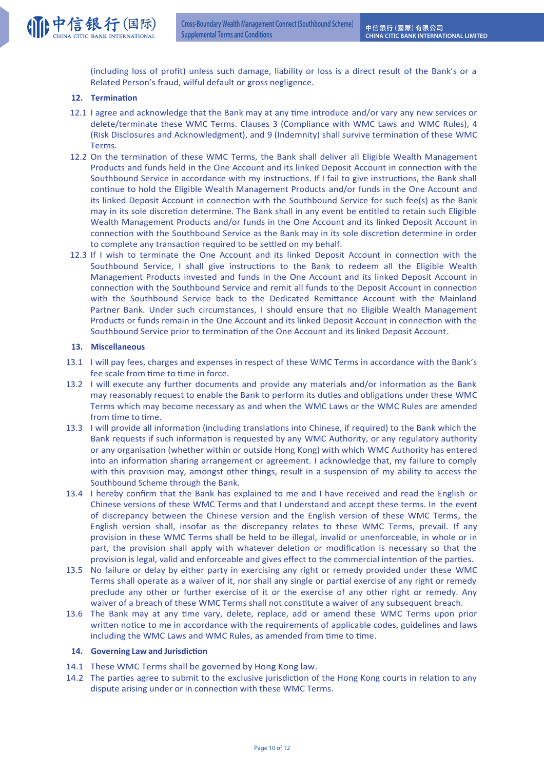(including loss of profit) unless such damage, liability or loss is a direct result of the Bank's or a Related Person's fraud, wilful default or gross negligence.

# **12.** Termination

- 12.1 I agree and acknowledge that the Bank may at any time introduce and/or vary any new services or delete/terminate these WMC Terms. Clauses 3 (Compliance with WMC Laws and WMC Rules), 4 (Risk Disclosures and Acknowledgment), and 9 (Indemnity) shall survive termination of these WMC Terms.
- 12.2 On the termination of these WMC Terms, the Bank shall deliver all Eligible Wealth Management Products and funds held in the One Account and its linked Deposit Account in connection with the Southbound Service in accordance with my instructions. If I fail to give instructions, the Bank shall continue to hold the Eligible Wealth Management Products and/or funds in the One Account and its linked Deposit Account in connection with the Southbound Service for such fee(s) as the Bank may in its sole discretion determine. The Bank shall in any event be entitled to retain such Eligible Wealth Management Products and/or funds in the One Account and its linked Deposit Account in connection with the Southbound Service as the Bank may in its sole discretion determine in order to complete any transaction required to be settled on my behalf.
- 12.3 If I wish to terminate the One Account and its linked Deposit Account in connection with the Southbound Service, I shall give instructions to the Bank to redeem all the Eligible Wealth Management Products invested and funds in the One Account and its linked Deposit Account in connection with the Southbound Service and remit all funds to the Deposit Account in connection with the Southbound Service back to the Dedicated Remittance Account with the Mainland Partner Bank. Under such circumstances, I should ensure that no Eligible Wealth Management Products or funds remain in the One Account and its linked Deposit Account in connection with the Southbound Service prior to termination of the One Account and its linked Deposit Account.

## **13. Miscellaneous**

- 13.1 I will pay fees, charges and expenses in respect of these WMC Terms in accordance with the Bank's fee scale from time to time in force.
- 13.2 I will execute any further documents and provide any materials and/or information as the Bank may reasonably request to enable the Bank to perform its duties and obligations under these WMC Terms which may become necessary as and when the WMC Laws or the WMC Rules are amended from time to time.
- 13.3 I will provide all information (including translations into Chinese, if required) to the Bank which the Bank requests if such information is requested by any WMC Authority, or any regulatory authority or any organisation (whether within or outside Hong Kong) with which WMC Authority has entered into an information sharing arrangement or agreement. I acknowledge that, my failure to comply with this provision may, amongst other things, result in a suspension of my ability to access the Southbound Scheme through the Bank.
- 13.4 I hereby confirm that the Bank has explained to me and I have received and read the English or Chinese versions of these WMC Terms and that I understand and accept these terms. In the event of discrepancy between the Chinese version and the English version of these WMC Terms, the English version shall, insofar as the discrepancy relates to these WMC Terms, prevail. If any provision in these WMC Terms shall be held to be illegal, invalid or unenforceable, in whole or in part, the provision shall apply with whatever deletion or modification is necessary so that the provision is legal, valid and enforceable and gives effect to the commercial intention of the parties.
- 13.5 No failure or delay by either party in exercising any right or remedy provided under these WMC Terms shall operate as a waiver of it, nor shall any single or partial exercise of any right or remedy preclude any other or further exercise of it or the exercise of any other right or remedy. Any waiver of a breach of these WMC Terms shall not constitute a waiver of any subsequent breach.
- 13.6 The Bank may at any time vary, delete, replace, add or amend these WMC Terms upon prior written notice to me in accordance with the requirements of applicable codes, guidelines and laws including the WMC Laws and WMC Rules, as amended from time to time.

### **14.** Governing Law and Jurisdiction

- 14.1 These WMC Terms shall be governed by Hong Kong law.
- 14.2 The parties agree to submit to the exclusive jurisdiction of the Hong Kong courts in relation to any dispute arising under or in connection with these WMC Terms.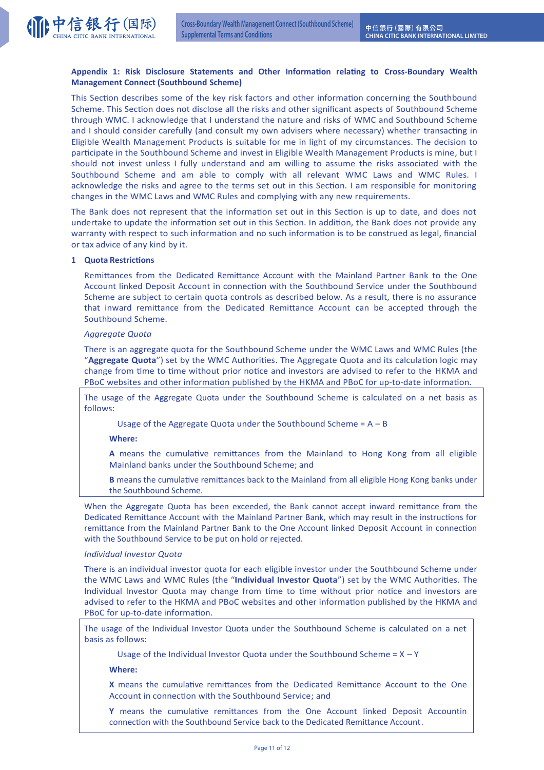

# Appendix 1: Risk Disclosure Statements and Other Information relating to Cross-Boundary Wealth **Management Connect (Southbound Scheme)**

This Section describes some of the key risk factors and other information concerning the Southbound Scheme. This Section does not disclose all the risks and other significant aspects of Southbound Scheme through WMC. I acknowledge that I understand the nature and risks of WMC and Southbound Scheme and I should consider carefully (and consult my own advisers where necessary) whether transacting in Eligible Wealth Management Products is suitable for me in light of my circumstances. The decision to participate in the Southbound Scheme and invest in Eligible Wealth Management Products is mine, but I should not invest unless I fully understand and am willing to assume the risks associated with the Southbound Scheme and am able to comply with all relevant WMC Laws and WMC Rules. I acknowledge the risks and agree to the terms set out in this Section. I am responsible for monitoring changes in the WMC Laws and WMC Rules and complying with any new requirements.

The Bank does not represent that the information set out in this Section is up to date, and does not undertake to update the information set out in this Section. In addition, the Bank does not provide any warranty with respect to such information and no such information is to be construed as legal, financial or tax advice of any kind by it.

## **1 Quota Restrictions**

Remittances from the Dedicated Remittance Account with the Mainland Partner Bank to the One Account linked Deposit Account in connection with the Southbound Service under the Southbound Scheme are subject to certain quota controls as described below. As a result, there is no assurance that inward remittance from the Dedicated Remittance Account can be accepted through the Southbound Scheme.

## *Aggregate Quota*

There is an aggregate quota for the Southbound Scheme under the WMC Laws and WMC Rules (the "Aggregate Quota") set by the WMC Authorities. The Aggregate Quota and its calculation logic may change from time to time without prior notice and investors are advised to refer to the HKMA and PBoC websites and other information published by the HKMA and PBoC for up-to-date information.

The usage of the Aggregate Quota under the Southbound Scheme is calculated on a net basis as follows:

Usage of the Aggregate Quota under the Southbound Scheme =  $A - B$ 

### **Where:**

A means the cumulative remittances from the Mainland to Hong Kong from all eligible Mainland banks under the Southbound Scheme; and

**B** means the cumulative remittances back to the Mainland from all eligible Hong Kong banks under the Southbound Scheme.

When the Aggregate Quota has been exceeded, the Bank cannot accept inward remittance from the Dedicated Remittance Account with the Mainland Partner Bank, which may result in the instructions for remittance from the Mainland Partner Bank to the One Account linked Deposit Account in connection with the Southbound Service to be put on hold or rejected.

### *Individual Investor Quota*

There is an individual investor quota for each eligible investor under the Southbound Scheme under the WMC Laws and WMC Rules (the "Individual Investor Quota") set by the WMC Authorities. The Individual Investor Quota may change from time to time without prior notice and investors are advised to refer to the HKMA and PBoC websites and other information published by the HKMA and PBoC for up-to-date information.

The usage of the Individual Investor Quota under the Southbound Scheme is calculated on a net basis as follows:

Usage of the Individual Investor Quota under the Southbound Scheme =  $X - Y$ 

**Where:** 

**X** means the cumulative remittances from the Dedicated Remittance Account to the One Account in connection with the Southbound Service; and

Y means the cumulative remittances from the One Account linked Deposit Accountin connection with the Southbound Service back to the Dedicated Remittance Account.